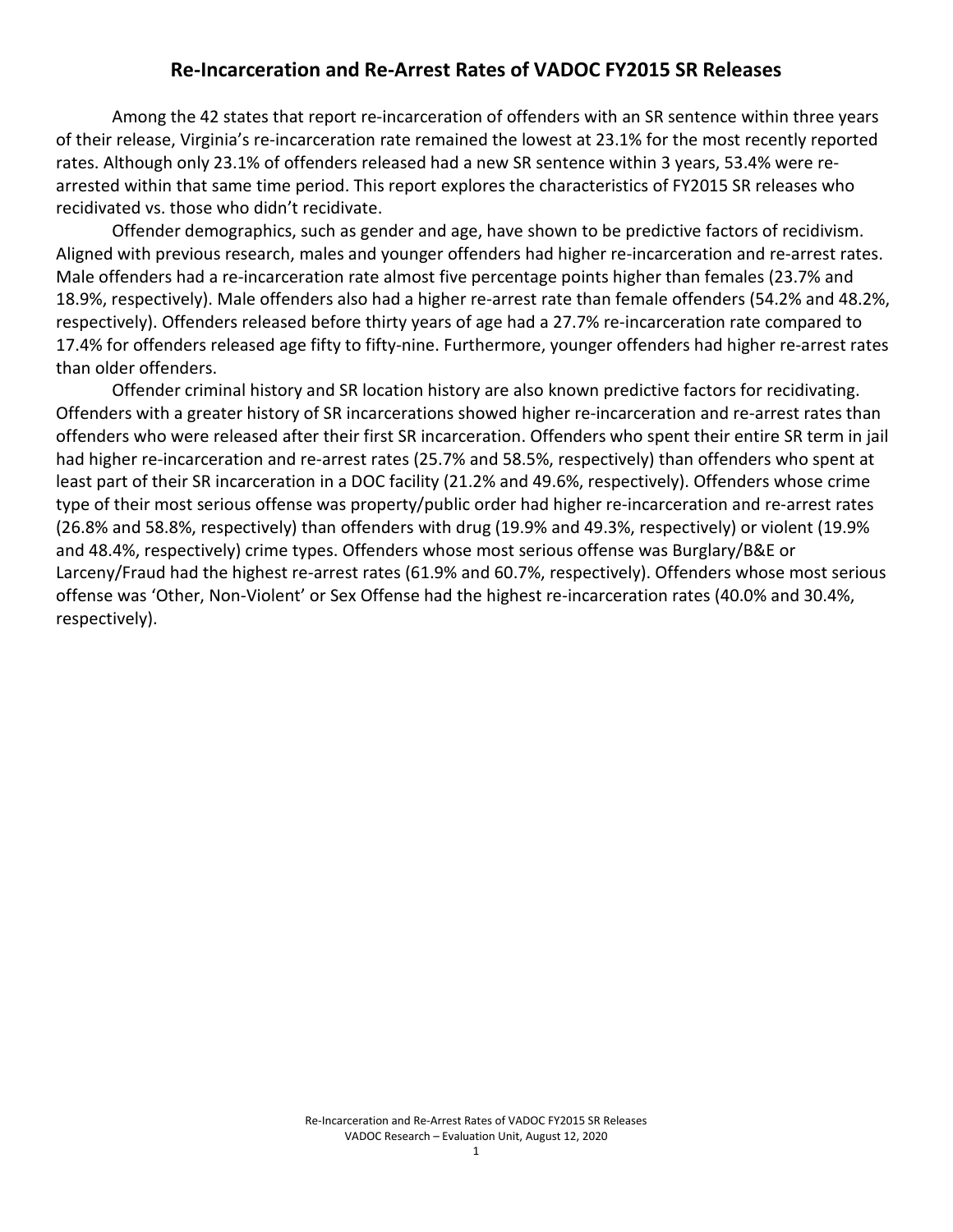## **Re-Incarceration and Re-Arrest Rates of VADOC FY2015 SR Releases**

Among the 42 states that report re-incarceration of offenders with an SR sentence within three years of their release, Virginia's re-incarceration rate remained the lowest at 23.1% for the most recently reported rates. Although only 23.1% of offenders released had a new SR sentence within 3 years, 53.4% were rearrested within that same time period. This report explores the characteristics of FY2015 SR releases who recidivated vs. those who didn't recidivate.

Offender demographics, such as gender and age, have shown to be predictive factors of recidivism. Aligned with previous research, males and younger offenders had higher re-incarceration and re-arrest rates. Male offenders had a re-incarceration rate almost five percentage points higher than females (23.7% and 18.9%, respectively). Male offenders also had a higher re-arrest rate than female offenders (54.2% and 48.2%, respectively). Offenders released before thirty years of age had a 27.7% re-incarceration rate compared to 17.4% for offenders released age fifty to fifty-nine. Furthermore, younger offenders had higher re-arrest rates than older offenders.

Offender criminal history and SR location history are also known predictive factors for recidivating. Offenders with a greater history of SR incarcerations showed higher re-incarceration and re-arrest rates than offenders who were released after their first SR incarceration. Offenders who spent their entire SR term in jail had higher re-incarceration and re-arrest rates (25.7% and 58.5%, respectively) than offenders who spent at least part of their SR incarceration in a DOC facility (21.2% and 49.6%, respectively). Offenders whose crime type of their most serious offense was property/public order had higher re-incarceration and re-arrest rates (26.8% and 58.8%, respectively) than offenders with drug (19.9% and 49.3%, respectively) or violent (19.9% and 48.4%, respectively) crime types. Offenders whose most serious offense was Burglary/B&E or Larceny/Fraud had the highest re-arrest rates (61.9% and 60.7%, respectively). Offenders whose most serious offense was 'Other, Non-Violent' or Sex Offense had the highest re-incarceration rates (40.0% and 30.4%, respectively).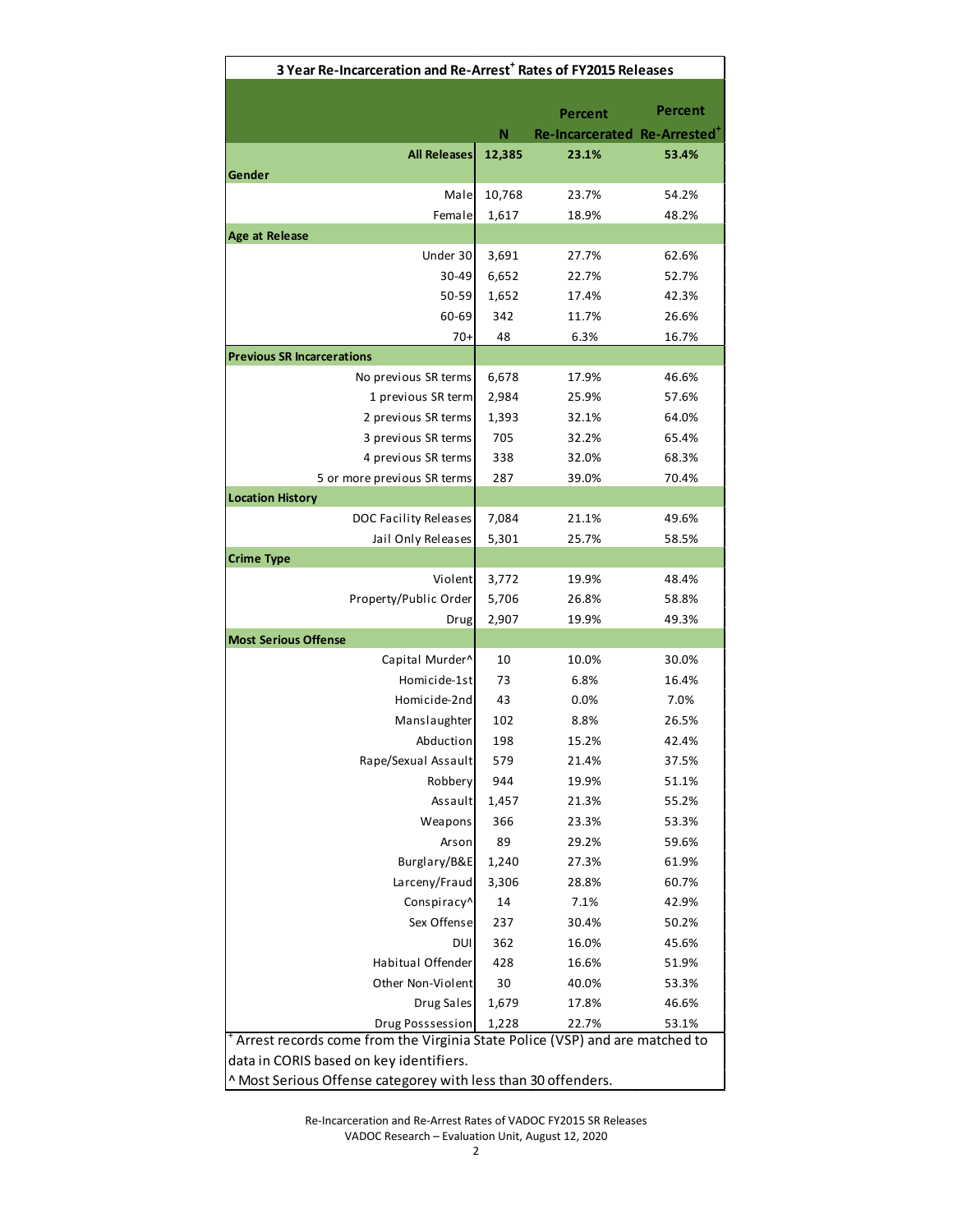| 3 Year Re-Incarceration and Re-Arrest <sup>+</sup> Rates of FY2015 Releases |        |                             |         |  |  |
|-----------------------------------------------------------------------------|--------|-----------------------------|---------|--|--|
|                                                                             |        |                             |         |  |  |
|                                                                             |        | Percent                     | Percent |  |  |
|                                                                             | Ν      | Re-Incarcerated Re-Arrested |         |  |  |
| <b>All Releases</b>                                                         | 12,385 | 23.1%                       | 53.4%   |  |  |
| Gender                                                                      |        |                             |         |  |  |
| Male                                                                        | 10,768 | 23.7%                       | 54.2%   |  |  |
| Female                                                                      | 1,617  | 18.9%                       | 48.2%   |  |  |
| <b>Age at Release</b>                                                       |        |                             |         |  |  |
| Under 30                                                                    | 3,691  | 27.7%                       | 62.6%   |  |  |
| 30-49                                                                       | 6,652  | 22.7%                       | 52.7%   |  |  |
| 50-59                                                                       | 1,652  | 17.4%                       | 42.3%   |  |  |
| 60-69                                                                       | 342    | 11.7%                       | 26.6%   |  |  |
| $70+$                                                                       | 48     | 6.3%                        | 16.7%   |  |  |
| <b>Previous SR Incarcerations</b>                                           |        |                             |         |  |  |
| No previous SR terms                                                        | 6,678  | 17.9%                       | 46.6%   |  |  |
| 1 previous SR term                                                          | 2,984  | 25.9%                       | 57.6%   |  |  |
| 2 previous SR terms                                                         | 1,393  | 32.1%                       | 64.0%   |  |  |
| 3 previous SR terms                                                         | 705    | 32.2%                       | 65.4%   |  |  |
| 4 previous SR terms                                                         | 338    | 32.0%                       | 68.3%   |  |  |
| 5 or more previous SR terms                                                 | 287    | 39.0%                       | 70.4%   |  |  |
| <b>Location History</b>                                                     |        |                             |         |  |  |
| DOC Facility Releases                                                       | 7,084  | 21.1%                       | 49.6%   |  |  |
| Jail Only Releases<br><b>Crime Type</b>                                     | 5,301  | 25.7%                       | 58.5%   |  |  |
| Violent                                                                     | 3,772  | 19.9%                       | 48.4%   |  |  |
| Property/Public Order                                                       | 5,706  | 26.8%                       | 58.8%   |  |  |
| Drug                                                                        | 2,907  | 19.9%                       | 49.3%   |  |  |
| <b>Most Serious Offense</b>                                                 |        |                             |         |  |  |
| Capital Murder^                                                             | 10     | 10.0%                       | 30.0%   |  |  |
| Homicide-1st                                                                | 73     | 6.8%                        | 16.4%   |  |  |
| Homicide-2nd                                                                | 43     | 0.0%                        | 7.0%    |  |  |
| Manslaughter                                                                | 102    | 8.8%                        | 26.5%   |  |  |
| Abduction                                                                   | 198    | 15.2%                       | 42.4%   |  |  |
| Rape/Sexual Assault                                                         | 579    | 21.4%                       | 37.5%   |  |  |
| Robbery                                                                     | 944    | 19.9%                       | 51.1%   |  |  |
| Assault                                                                     | 1,457  | 21.3%                       | 55.2%   |  |  |
| Weapons                                                                     | 366    | 23.3%                       | 53.3%   |  |  |
| Arson                                                                       | 89     | 29.2%                       | 59.6%   |  |  |
| Burglary/B&E                                                                | 1,240  | 27.3%                       | 61.9%   |  |  |
| Larceny/Fraud                                                               | 3,306  | 28.8%                       | 60.7%   |  |  |
| Conspiracy^                                                                 | 14     | 7.1%                        | 42.9%   |  |  |
| Sex Offense                                                                 | 237    | 30.4%                       | 50.2%   |  |  |
| DUI                                                                         | 362    | 16.0%                       | 45.6%   |  |  |
| Habitual Offender                                                           | 428    | 16.6%                       | 51.9%   |  |  |
| Other Non-Violent                                                           | 30     | 40.0%                       | 53.3%   |  |  |
| Drug Sales                                                                  | 1,679  | 17.8%                       | 46.6%   |  |  |
| Drug Posssession                                                            | 1,228  | 22.7%                       | 53.1%   |  |  |
| Arrest records come from the Virginia State Police (VSP) and are matched to |        |                             |         |  |  |
| data in CORIS based on key identifiers.                                     |        |                             |         |  |  |
| ^ Most Serious Offense categorey with less than 30 offenders.               |        |                             |         |  |  |

Re-Incarceration and Re-Arrest Rates of VADOC FY2015 SR Releases VADOC Research – Evaluation Unit, August 12, 2020